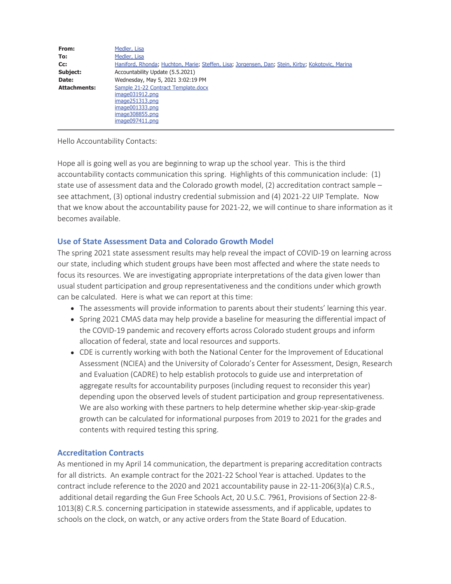| From:               | Medler, Lisa                                                                                                                          |
|---------------------|---------------------------------------------------------------------------------------------------------------------------------------|
| To:                 | Medler, Lisa                                                                                                                          |
| Cc:                 | Haniford, Rhonda; Huchton, Marie; Steffen, Lisa; Jorgensen, Dan; Stein, Kirby; Kokotovic, Marina                                      |
| Subject:            | Accountability Update (5.5.2021)                                                                                                      |
| Date:               | Wednesday, May 5, 2021 3:02:19 PM                                                                                                     |
| <b>Attachments:</b> | Sample 21-22 Contract Template.docx<br>image031912.png<br>image251313.png<br>image001333.png<br>image308855.png<br>$imaae097411.$ pna |

Hello Accountability Contacts:

Hope all is going well as you are beginning to wrap up the school year. This is the third accountability contacts communication this spring. Highlights of this communication include: (1) state use of assessment data and the Colorado growth model,  $(2)$  accreditation contract sample – see attachment, (3) optional industry credential submission and (4) 2021-22 UIP Template. Now that we know about the accountability pause for 2021-22, we will continue to share information as it becomes available.

#### **Use of State Assessment Data and Colorado Growth Model**

The spring 2021 state assessment results may help reveal the impact of COVID-19 on learning across our state, including which student groups have been most affected and where the state needs to focus its resources. We are investigating appropriate interpretations of the data given lower than usual student participation and group representativeness and the conditions under which growth can be calculated. Here is what we can report at this time:

- The assessments will provide information to parents about their students' learning this year.
- Spring 2021 CMAS data may help provide a baseline for measuring the differential impact of the COVID-19 pandemic and recovery efforts across Colorado student groups and inform allocation of federal, state and local resources and supports.
- CDE is currently working with both the National Center for the Improvement of Educational Assessment (NCIEA) and the University of Colorado's Center for Assessment, Design, Research and Evaluation (CADRE) to help establish protocols to guide use and interpretation of aggregate results for accountability purposes (including request to reconsider this year) depending upon the observed levels of student participation and group representativeness. We are also working with these partners to help determine whether skip-year-skip-grade growth can be calculated for informational purposes from 2019 to 2021 for the grades and contents with required testing this spring.

#### **Accreditation Contracts**

As mentioned in my April 14 communication, the department is preparing accreditation contracts for all districts. An example contract for the 2021-22 School Year is attached. Updates to the contract include reference to the 2020 and 2021 accountability pause in 22-11-206(3)(a) C.R.S., additional detail regarding the Gun Free Schools Act, 20 U.S.C. 7961, Provisions of Section 22-8- 1013(8) C.R.S. concerning participation in statewide assessments, and if applicable, updates to schools on the clock, on watch, or any active orders from the State Board of Education.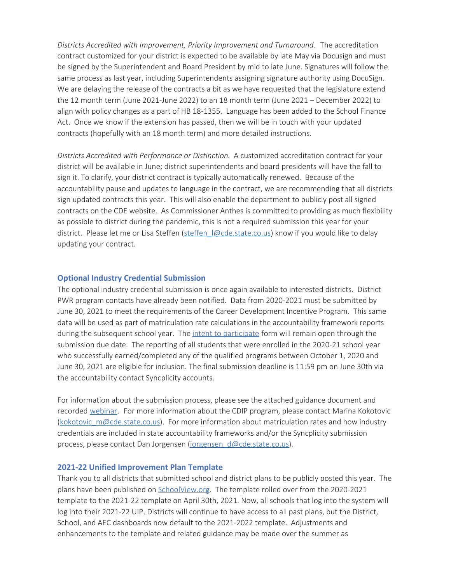*Districts Accredited with Improvement, Priority Improvement and Turnaround.* The accreditation contract customized for your district is expected to be available by late May via Docusign and must be signed by the Superintendent and Board President by mid to late June. Signatures will follow the same process as last year, including Superintendents assigning signature authority using DocuSign. We are delaying the release of the contracts a bit as we have requested that the legislature extend the 12 month term (June 2021-June 2022) to an 18 month term (June 2021 – December 2022) to align with policy changes as a part of HB 18-1355. Language has been added to the School Finance Act. Once we know if the extension has passed, then we will be in touch with your updated contracts (hopefully with an 18 month term) and more detailed instructions.

*Districts Accredited with Performance or Distinction.* A customized accreditation contract for your district will be available in June; district superintendents and board presidents will have the fall to sign it. To clarify, your district contract is typically automatically renewed. Because of the accountability pause and updates to language in the contract, we are recommending that all districts sign updated contracts this year. This will also enable the department to publicly post all signed contracts on the CDE website. As Commissioner Anthes is committed to providing as much flexibility as possible to district during the pandemic, this is not a required submission this year for your district. Please let me or Lisa Steffen (steffen  $|@cde.state.co.us|$  know if you would like to delay updating your contract.

#### **Optional Industry Credential Submission**

The optional industry credential submission is once again available to interested districts. District PWR program contacts have already been notified. Data from 2020-2021 must be submitted by June 30, 2021 to meet the requirements of the Career Development Incentive Program. This same data will be used as part of matriculation rate calculations in the accountability framework reports during the subsequent school year. The intent to participate form will remain open through the submission due date. The reporting of all students that were enrolled in the 2020-21 school year who successfully earned/completed any of the qualified programs between October 1, 2020 and June 30, 2021 are eligible for inclusion. The final submission deadline is 11:59 pm on June 30th via the accountability contact Syncplicity accounts.

For information about the submission process, please see the attached guidance document and recorded webinar. For more information about the CDIP program, please contact Marina Kokotovic (kokotovic\_m@cde.state.co.us). For more information about matriculation rates and how industry credentials are included in state accountability frameworks and/or the Syncplicity submission process, please contact Dan Jorgensen (jorgensen\_d@cde.state.co.us).

#### **2021-22 Unified Improvement Plan Template**

Thank you to all districts that submitted school and district plans to be publicly posted this year. The plans have been published on **SchoolView.org**. The template rolled over from the 2020-2021 template to the 2021-22 template on April 30th, 2021. Now, all schools that log into the system will log into their 2021-22 UIP. Districts will continue to have access to all past plans, but the District, School, and AEC dashboards now default to the 2021-2022 template. Adjustments and enhancements to the template and related guidance may be made over the summer as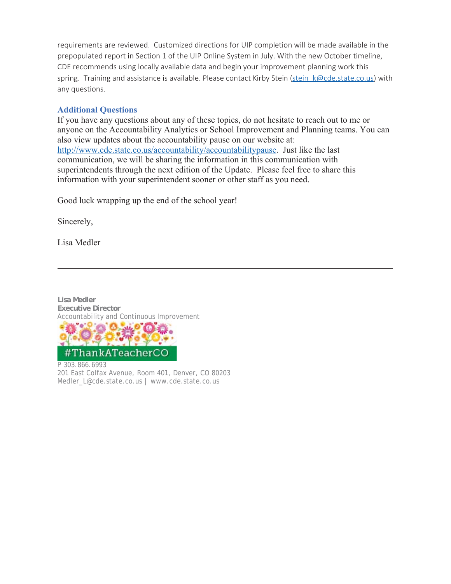requirements are reviewed. Customized directions for UIP completion will be made available in the prepopulated report in Section 1 of the UIP Online System in July. With the new October timeline, CDE recommends using locally available data and begin your improvement planning work this spring. Training and assistance is available. Please contact Kirby Stein (stein k@cde.state.co.us) with any questions.

#### **Additional Questions**

If you have any questions about any of these topics, do not hesitate to reach out to me or anyone on the Accountability Analytics or School Improvement and Planning teams. You can also view updates about the accountability pause on our website at: http://www.cde.state.co.us/accountability/accountabilitypause. Just like the last communication, we will be sharing the information in this communication with superintendents through the next edition of the Update. Please feel free to share this information with your superintendent sooner or other staff as you need.

Good luck wrapping up the end of the school year!

Sincerely,

Lisa Medler

**Lisa Medler Executive Director** Accountability and Continuous Improvement



P 303.866.6993 201 East Colfax Avenue, Room 401, Denver, CO 80203 Medler\_L@cde.state.co.us | www.cde.state.co.us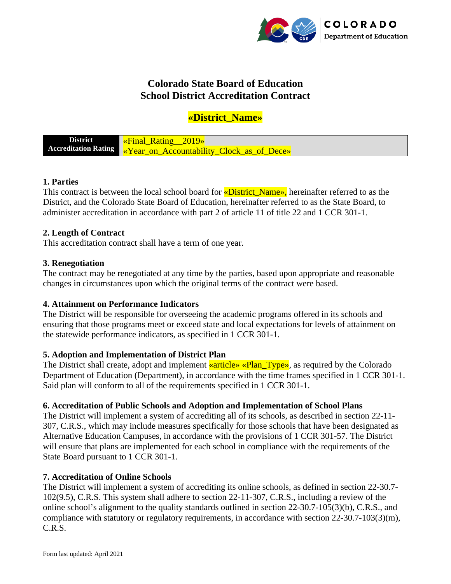

# **Colorado State Board of Education School District Accreditation Contract**

## **«District\_Name»**

**District Accreditation Rating** «Final\_Rating\_\_2019» «Year on Accountability Clock as of Dece»

## **1. Parties**

This contract is between the local school board for «District Name», hereinafter referred to as the District, and the Colorado State Board of Education, hereinafter referred to as the State Board, to administer accreditation in accordance with part 2 of article 11 of title 22 and 1 CCR 301-1.

## **2. Length of Contract**

This accreditation contract shall have a term of one year.

## **3. Renegotiation**

The contract may be renegotiated at any time by the parties, based upon appropriate and reasonable changes in circumstances upon which the original terms of the contract were based.

## **4. Attainment on Performance Indicators**

The District will be responsible for overseeing the academic programs offered in its schools and ensuring that those programs meet or exceed state and local expectations for levels of attainment on the statewide performance indicators, as specified in 1 CCR 301-1.

#### **5. Adoption and Implementation of District Plan**

The District shall create, adopt and implement **«article» «Plan\_Type»**, as required by the Colorado Department of Education (Department), in accordance with the time frames specified in 1 CCR 301-1. Said plan will conform to all of the requirements specified in 1 CCR 301-1.

## **6. Accreditation of Public Schools and Adoption and Implementation of School Plans**

The District will implement a system of accrediting all of its schools, as described in section 22-11- 307, C.R.S., which may include measures specifically for those schools that have been designated as Alternative Education Campuses, in accordance with the provisions of 1 CCR 301-57. The District will ensure that plans are implemented for each school in compliance with the requirements of the State Board pursuant to 1 CCR 301-1.

#### **7. Accreditation of Online Schools**

The District will implement a system of accrediting its online schools, as defined in section 22-30.7- 102(9.5), C.R.S. This system shall adhere to section 22-11-307, C.R.S., including a review of the online school's alignment to the quality standards outlined in section 22-30.7-105(3)(b), C.R.S., and compliance with statutory or regulatory requirements, in accordance with section 22-30.7-103(3)(m), C.R.S.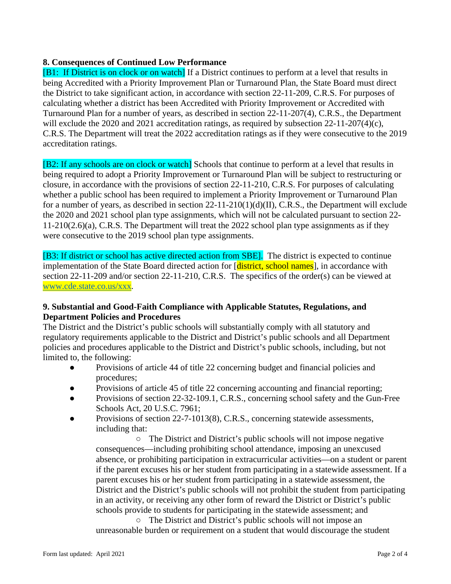## **8. Consequences of Continued Low Performance**

[B1: If District is on clock or on watch] If a District continues to perform at a level that results in being Accredited with a Priority Improvement Plan or Turnaround Plan, the State Board must direct the District to take significant action, in accordance with section 22-11-209, C.R.S. For purposes of calculating whether a district has been Accredited with Priority Improvement or Accredited with Turnaround Plan for a number of years, as described in section 22-11-207(4), C.R.S., the Department will exclude the 2020 and 2021 accreditation ratings, as required by subsection 22-11-207(4)(c), C.R.S. The Department will treat the 2022 accreditation ratings as if they were consecutive to the 2019 accreditation ratings.

[B2: If any schools are on clock or watch] Schools that continue to perform at a level that results in being required to adopt a Priority Improvement or Turnaround Plan will be subject to restructuring or closure, in accordance with the provisions of section 22-11-210, C.R.S. For purposes of calculating whether a public school has been required to implement a Priority Improvement or Turnaround Plan for a number of years, as described in section  $22{\text -}11{\text -}210(1)(d)(II)$ , C.R.S., the Department will exclude the 2020 and 2021 school plan type assignments, which will not be calculated pursuant to section 22- 11-210(2.6)(a), C.R.S. The Department will treat the 2022 school plan type assignments as if they were consecutive to the 2019 school plan type assignments.

[B3: If district or school has active directed action from SBE]. The district is expected to continue implementation of the State Board directed action for [district, school names], in accordance with section 22-11-209 and/or section 22-11-210, C.R.S. The specifics of the order(s) can be viewed at [www.cde.state.co.us/xxx.](http://www.cde.state.co.us/xxx)

## **9. Substantial and Good-Faith Compliance with Applicable Statutes, Regulations, and Department Policies and Procedures**

The District and the District's public schools will substantially comply with all statutory and regulatory requirements applicable to the District and District's public schools and all Department policies and procedures applicable to the District and District's public schools, including, but not limited to, the following:

- Provisions of article 44 of title 22 concerning budget and financial policies and procedures;
- Provisions of article 45 of title 22 concerning accounting and financial reporting;
- Provisions of section 22-32-109.1, C.R.S., concerning school safety and the Gun-Free Schools Act, 20 U.S.C. 7961;
- Provisions of section 22-7-1013(8), C.R.S., concerning statewide assessments, including that:

○ The District and District's public schools will not impose negative consequences—including prohibiting school attendance, imposing an unexcused absence, or prohibiting participation in extracurricular activities—on a student or parent if the parent excuses his or her student from participating in a statewide assessment. If a parent excuses his or her student from participating in a statewide assessment, the District and the District's public schools will not prohibit the student from participating in an activity, or receiving any other form of reward the District or District's public schools provide to students for participating in the statewide assessment; and

○ The District and District's public schools will not impose an unreasonable burden or requirement on a student that would discourage the student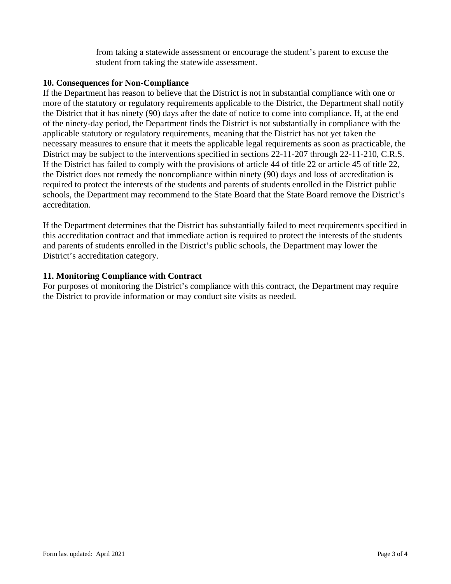from taking a statewide assessment or encourage the student's parent to excuse the student from taking the statewide assessment.

#### **10. Consequences for Non-Compliance**

If the Department has reason to believe that the District is not in substantial compliance with one or more of the statutory or regulatory requirements applicable to the District, the Department shall notify the District that it has ninety (90) days after the date of notice to come into compliance. If, at the end of the ninety-day period, the Department finds the District is not substantially in compliance with the applicable statutory or regulatory requirements, meaning that the District has not yet taken the necessary measures to ensure that it meets the applicable legal requirements as soon as practicable, the District may be subject to the interventions specified in sections 22-11-207 through 22-11-210, C.R.S. If the District has failed to comply with the provisions of article 44 of title 22 or article 45 of title 22, the District does not remedy the noncompliance within ninety (90) days and loss of accreditation is required to protect the interests of the students and parents of students enrolled in the District public schools, the Department may recommend to the State Board that the State Board remove the District's accreditation.

If the Department determines that the District has substantially failed to meet requirements specified in this accreditation contract and that immediate action is required to protect the interests of the students and parents of students enrolled in the District's public schools, the Department may lower the District's accreditation category.

## **11. Monitoring Compliance with Contract**

For purposes of monitoring the District's compliance with this contract, the Department may require the District to provide information or may conduct site visits as needed.